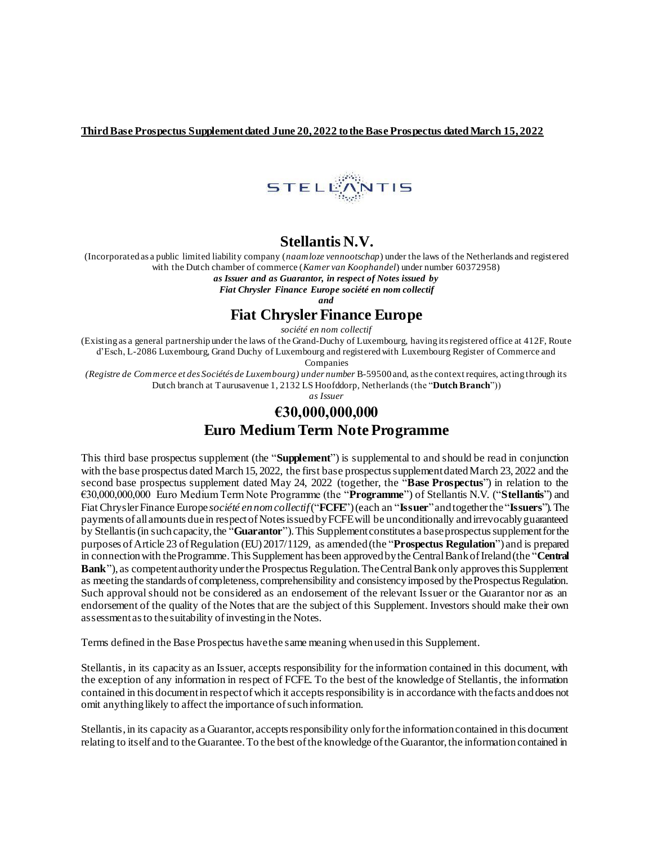**ThirdBase Prospectus Supplement dated June 20, 2022 to the Base Prospectus dated March 15, 2022**



## **Stellantis N.V.**

(Incorporated as a public limited liability company (*naamloze vennootschap*) under the laws of the Netherlands and registered with the Dutch chamber of commerce (*Kamer van Koophandel*) under number 60372958)

*as Issuer and as Guarantor, in respect of Notes issued by* 

*Fiat Chrysler Finance Europe société en nom collectif* 

*and*

#### **Fiat Chrysler Finance Europe**

*société en nom collectif* 

(Existing as a general partnership under the laws of the Grand-Duchy of Luxembourg, having its registered office at 412F, Route d'Esch, L-2086 Luxembourg, Grand Duchy of Luxembourg and registered with Luxembourg Register of Commerce and

Companies

*(Registre de Commerce et des Sociétés de Luxembourg) under number B-59500 and, as the context requires, acting through its* Dutch branch at Taurusavenue 1, 2132 LS Hoofddorp, Netherlands (the "**Dutch Branch**"))

*as Issuer*

# **€30,000,000,000 Euro Medium Term Note Programme**

This third base prospectus supplement (the "**Supplement**") is supplemental to and should be read in conjunction with the base prospectus dated March 15, 2022, the first base prospectus supplement dated March 23, 2022 and the second base prospectus supplement dated May 24, 2022 (together, the "**Base Prospectus**") in relation to the €30,000,000,000 Euro Medium Term Note Programme (the "**Programme**") of Stellantis N.V. ("**Stellantis**") and Fiat Chrysler Finance Europe *société en nom collectif* ("**FCFE**") (each an "**Issuer**"and together the "**Issuers**"). The payments of all amounts due in respect of Notes issued by FCFE will be unconditionally and irrevocably guaranteed by Stellantis (in such capacity, the "**Guarantor**"). This Supplement constitutes a base prospectus supplement for the purposes of Article 23 of Regulation (EU) 2017/1129, as amended (the "**Prospectus Regulation**") and is prepared in connection with the Programme. This Supplement has been approved by the Central Bank of Ireland (the "**Central Bank**"), as competent authority under the Prospectus Regulation. The Central Bank only approves this Supplement as meeting the standards of completeness, comprehensibility and consistency imposed by the Prospectus Regulation. Such approval should not be considered as an endorsement of the relevant Issuer or the Guarantor nor as an endorsement of the quality of the Notes that are the subject of this Supplement. Investors should make their own assessment as to the suitability of investing in the Notes.

Terms defined in the Base Prospectus have the same meaning when used in this Supplement.

Stellantis, in its capacity as an Issuer, accepts responsibility for the information contained in this document, with the exception of any information in respect of FCFE. To the best of the knowledge of Stellantis, the information contained in this document in respect of which it accepts responsibility is in accordance with the facts and does not omit anything likely to affect the importance of such information.

Stellantis, in its capacity as a Guarantor, accepts responsibility only for the information contained in this document relating to itself and to the Guarantee. To the best of the knowledge of the Guarantor, the information contained in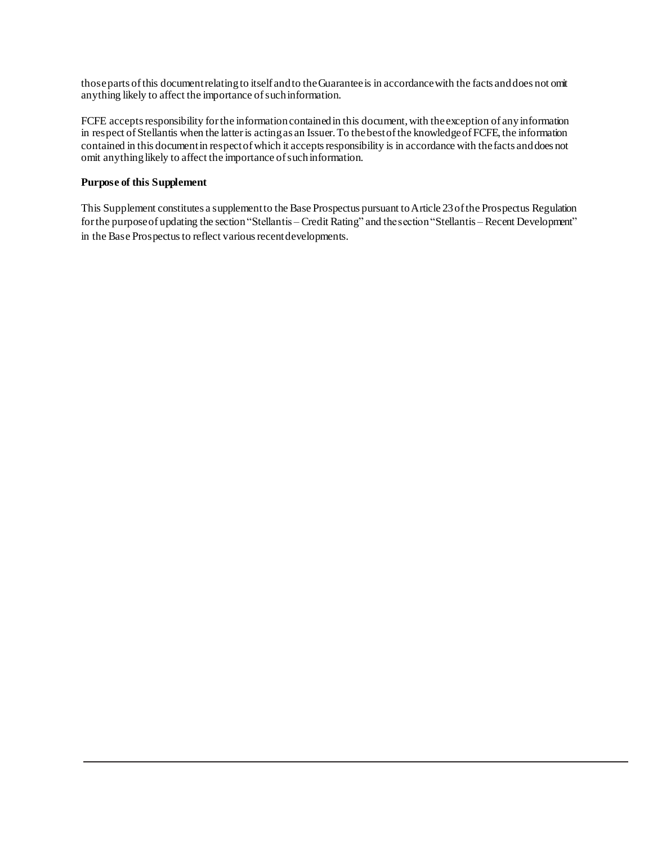those parts of this document relating to itself and to the Guarantee is in accordance with the facts and does not omit anything likely to affect the importance of such information.

FCFE accepts responsibility for the information contained in this document, with the exception of any information in respect of Stellantis when the latter is acting as an Issuer. To the best of the knowledge of FCFE, the information contained in this document in respect of which it accepts responsibility is in accordance with the facts and does not omit anything likely to affect the importance of such information.

### **Purpose of this Supplement**

This Supplement constitutes a supplement to the Base Prospectus pursuant to Article 23 of the Prospectus Regulation for the purpose of updating the section "Stellantis – Credit Rating" and the section "Stellantis – Recent Development" in the Base Prospectus to reflect various recent developments.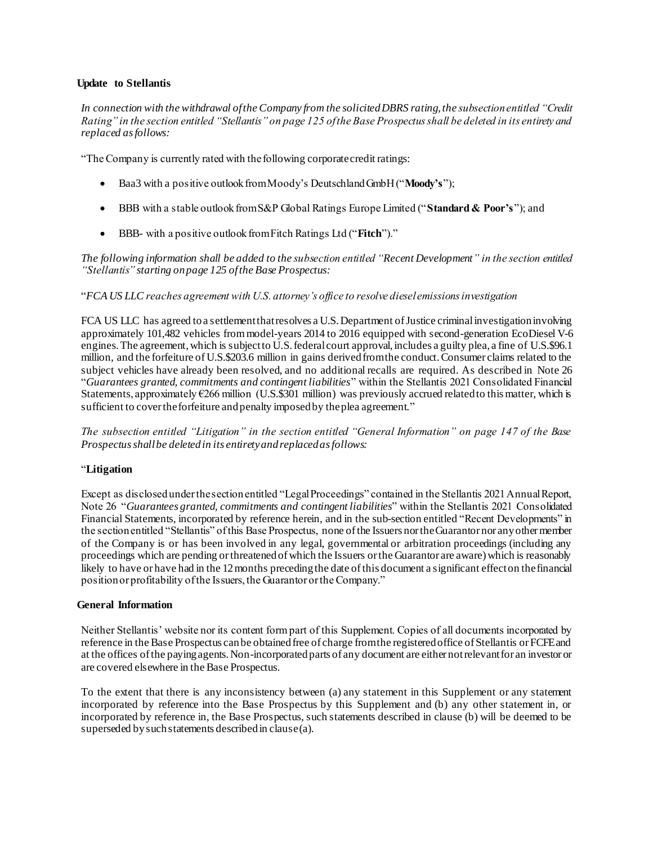#### **Update to Stellantis**

*In connection with the withdrawal of the Company from the solicitedDBRS rating, the subsection entitled "Credit Rating" in the section entitled "Stellantis" on page 125 of the Base Prospectus shall be deleted in its entirety and replaced as follows:*

"The Company is currently rated with the following corporate credit ratings:

- Baa3 with a positive outlook from Moody's Deutschland GmbH ("**Moody's**");
- BBB with a stable outlook from S&P Global Ratings Europe Limited ("**Standard & Poor's**"); and
- BBB- with a positive outlook from Fitch Ratings Ltd ("**Fitch**")."

*The following information shall be added to the subsection entitled "Recent Development" in the section entitled "Stellantis" starting on page 125 of the Base Prospectus:*

#### "*FCA US LLC reaches agreement with U.S. attorney's office to resolve diesel emissions investigation*

FCA US LLC has agreed to a settlement that resolves a U.S. Department of Justice criminal investigation involving approximately 101,482 vehicles from model-years 2014 to 2016 equipped with second-generation EcoDiesel V-6 engines. The agreement, which is subject to U.S. federal court approval, includes a guilty plea, a fine of U.S.\$96.1 million, and the forfeiture of U.S.\$203.6 million in gains derived from the conduct. Consumer claims related to the subject vehicles have already been resolved, and no additional recalls are required. As described in Note 26 "*Guarantees granted, commitments and contingent liabilities*" within the Stellantis 2021 Consolidated Financial Statements, approximately  $\epsilon$ 266 million (U.S.\$301 million) was previously accrued related to this matter, which is sufficient to cover the forfeiture and penalty imposed by the plea agreement."

*The subsection entitled "Litigation" in the section entitled "General Information" on page 147 of the Base Prospectus shall be deleted in its entirety and replaced as follows:*

#### "**Litigation**

Except as disclosed under the section entitled "Legal Proceedings" contained in the Stellantis 2021 Annual Report, Note 26 "*Guarantees granted, commitments and contingent liabilities*" within the Stellantis 2021 Consolidated Financial Statements, incorporated by reference herein, and in the sub-section entitled "Recent Developments" in the section entitled "Stellantis" of this Base Prospectus, none of the Issuers nor the Guarantor nor any other member of the Company is or has been involved in any legal, governmental or arbitration proceedings (including any proceedings which are pending or threatened of which the Issuers or the Guarantor are aware) which is reasonably likely to have or have had in the 12 months preceding the date of this document a significant effect on the financial position or profitability of the Issuers, the Guarantor or the Company."

#### **General Information**

Neither Stellantis' website nor its content form part of this Supplement. Copies of all documents incorporated by reference in the Base Prospectus can be obtained free of charge from the registered office of Stellantis or FCFE and at the offices of the paying agents. Non-incorporated parts of any document are either not relevant for an investor or are covered elsewhere in the Base Prospectus.

To the extent that there is any inconsistency between (a) any statement in this Supplement or any statement incorporated by reference into the Base Prospectus by this Supplement and (b) any other statement in, or incorporated by reference in, the Base Prospectus, such statements described in clause (b) will be deemed to be superseded by such statements described in clause (a).